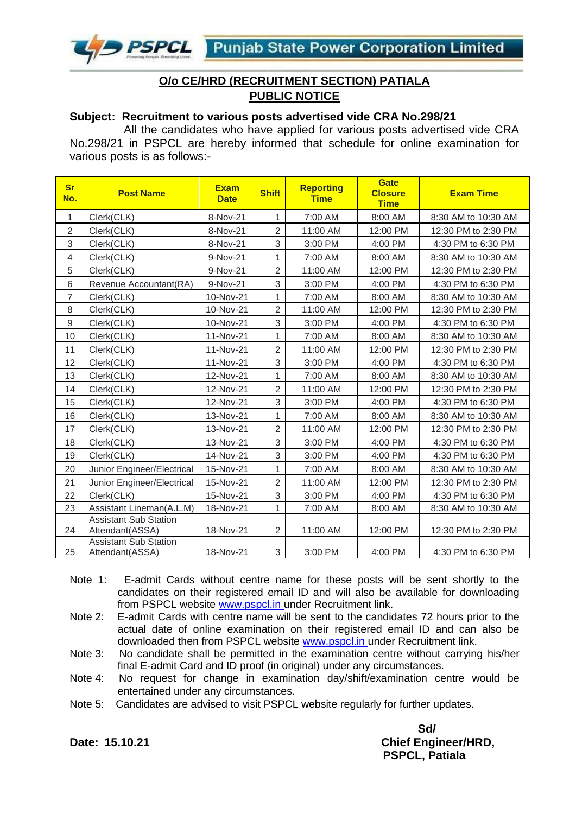

#### **O/o CE/HRD (RECRUITMENT SECTION) PATIALA PUBLIC NOTICE**

#### **Subject: Recruitment to various posts advertised vide CRA No.298/21**

 All the candidates who have applied for various posts advertised vide CRA No.298/21 in PSPCL are hereby informed that schedule for online examination for various posts is as follows:-

| <b>Sr</b><br>No. | <b>Post Name</b>                                | <b>Exam</b><br><b>Date</b> | <b>Shift</b>   | <b>Reporting</b><br><b>Time</b> | <b>Gate</b><br><b>Closure</b><br><b>Time</b> | <b>Exam Time</b>    |
|------------------|-------------------------------------------------|----------------------------|----------------|---------------------------------|----------------------------------------------|---------------------|
| $\mathbf 1$      | Clerk(CLK)                                      | 8-Nov-21                   | 1              | 7:00 AM                         | 8:00 AM                                      | 8:30 AM to 10:30 AM |
| $\overline{2}$   | Clerk(CLK)                                      | 8-Nov-21                   | $\overline{2}$ | 11:00 AM                        | 12:00 PM                                     | 12:30 PM to 2:30 PM |
| 3                | Clerk(CLK)                                      | 8-Nov-21                   | 3              | 3:00 PM                         | 4:00 PM                                      | 4:30 PM to 6:30 PM  |
| 4                | Clerk(CLK)                                      | 9-Nov-21                   | 1              | 7:00 AM                         | 8:00 AM                                      | 8:30 AM to 10:30 AM |
| 5                | Clerk(CLK)                                      | 9-Nov-21                   | $\overline{2}$ | 11:00 AM                        | 12:00 PM                                     | 12:30 PM to 2:30 PM |
| $6\phantom{1}6$  | Revenue Accountant (RA)                         | 9-Nov-21                   | 3              | 3:00 PM                         | 4:00 PM                                      | 4:30 PM to 6:30 PM  |
| $\overline{7}$   | Clerk(CLK)                                      | 10-Nov-21                  | 1              | 7:00 AM                         | 8:00 AM                                      | 8:30 AM to 10:30 AM |
| 8                | Clerk(CLK)                                      | 10-Nov-21                  | $\overline{2}$ | 11:00 AM                        | 12:00 PM                                     | 12:30 PM to 2:30 PM |
| $\boldsymbol{9}$ | Clerk(CLK)                                      | 10-Nov-21                  | 3              | 3:00 PM                         | 4:00 PM                                      | 4:30 PM to 6:30 PM  |
| 10               | Clerk(CLK)                                      | 11-Nov-21                  | 1              | 7:00 AM                         | 8:00 AM                                      | 8:30 AM to 10:30 AM |
| 11               | Clerk(CLK)                                      | 11-Nov-21                  | $\overline{2}$ | 11:00 AM                        | 12:00 PM                                     | 12:30 PM to 2:30 PM |
| 12               | Clerk(CLK)                                      | 11-Nov-21                  | 3              | 3:00 PM                         | 4:00 PM                                      | 4:30 PM to 6:30 PM  |
| 13               | Clerk(CLK)                                      | 12-Nov-21                  | 1              | 7:00 AM                         | 8:00 AM                                      | 8:30 AM to 10:30 AM |
| 14               | Clerk(CLK)                                      | 12-Nov-21                  | $\overline{2}$ | 11:00 AM                        | 12:00 PM                                     | 12:30 PM to 2:30 PM |
| 15               | Clerk(CLK)                                      | 12-Nov-21                  | 3              | 3:00 PM                         | 4:00 PM                                      | 4:30 PM to 6:30 PM  |
| 16               | Clerk(CLK)                                      | 13-Nov-21                  | 1              | 7:00 AM                         | 8:00 AM                                      | 8:30 AM to 10:30 AM |
| 17               | Clerk(CLK)                                      | 13-Nov-21                  | $\overline{2}$ | 11:00 AM                        | 12:00 PM                                     | 12:30 PM to 2:30 PM |
| 18               | Clerk(CLK)                                      | 13-Nov-21                  | 3              | 3:00 PM                         | 4:00 PM                                      | 4:30 PM to 6:30 PM  |
| 19               | Clerk(CLK)                                      | 14-Nov-21                  | 3              | 3:00 PM                         | 4:00 PM                                      | 4:30 PM to 6:30 PM  |
| 20               | Junior Engineer/Electrical                      | 15-Nov-21                  | 1              | 7:00 AM                         | 8:00 AM                                      | 8:30 AM to 10:30 AM |
| 21               | Junior Engineer/Electrical                      | 15-Nov-21                  | $\overline{2}$ | 11:00 AM                        | 12:00 PM                                     | 12:30 PM to 2:30 PM |
| 22               | Clerk(CLK)                                      | 15-Nov-21                  | 3              | 3:00 PM                         | 4:00 PM                                      | 4:30 PM to 6:30 PM  |
| 23               | Assistant Lineman(A.L.M)                        | 18-Nov-21                  | 1              | 7:00 AM                         | 8:00 AM                                      | 8:30 AM to 10:30 AM |
| 24               | <b>Assistant Sub Station</b><br>Attendant(ASSA) | 18-Nov-21                  | $\overline{2}$ | 11:00 AM                        | 12:00 PM                                     | 12:30 PM to 2:30 PM |
| 25               | <b>Assistant Sub Station</b><br>Attendant(ASSA) | 18-Nov-21                  | 3              | 3:00 PM                         | 4:00 PM                                      | 4:30 PM to 6:30 PM  |

- Note 1: E-admit Cards without centre name for these posts will be sent shortly to the candidates on their registered email ID and will also be available for downloading from PSPCL website [www.pspcl.in](http://www.pspcl.in/) under Recruitment link.
- Note 2: E-admit Cards with centre name will be sent to the candidates 72 hours prior to the actual date of online examination on their registered email ID and can also be downloaded then from PSPCL website [www.pspcl.in](http://www.pspcl.in/) under Recruitment link.
- Note 3: No candidate shall be permitted in the examination centre without carrying his/her final E-admit Card and ID proof (in original) under any circumstances.
- Note 4: No request for change in examination day/shift/examination centre would be entertained under any circumstances.
- Note 5: Candidates are advised to visit PSPCL website regularly for further updates.

**Sd/ Date: 15.10.21 Chief Engineer/HRD, PSPCL, Patiala**